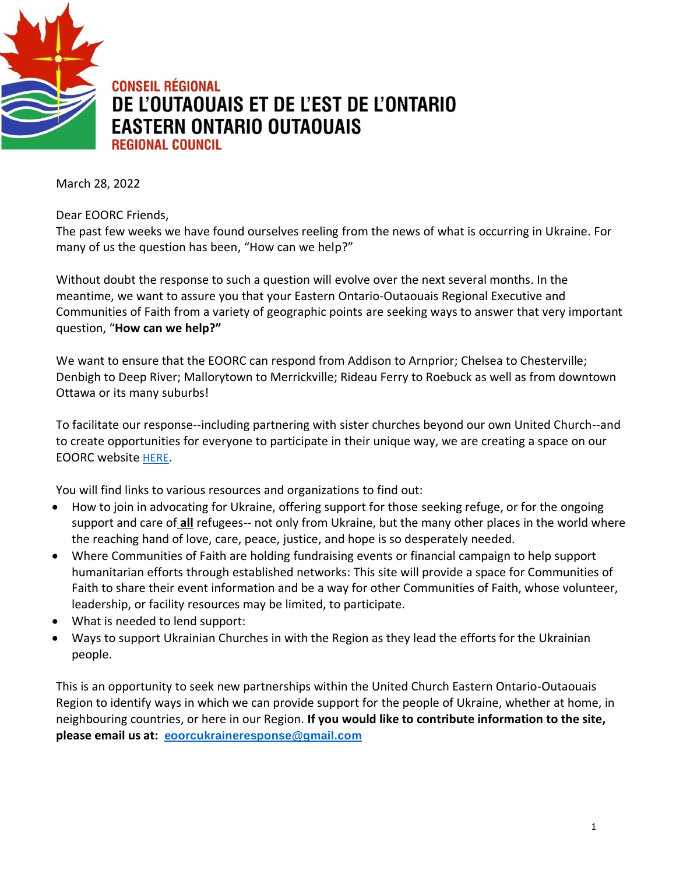

**CONSEIL RÉGIONAL** DE L'OUTAOUAIS ET DE L'EST DE L'ONTARIO **EASTERN ONTARIO OUTAOUAIS REGIONAL COUNCIL** 

March 28, 2022

Dear EOORC Friends,

The past few weeks we have found ourselves reeling from the news of what is occurring in Ukraine. For many of us the question has been, "How can we help?"

Without doubt the response to such a question will evolve over the next several months. In the meantime, we want to assure you that your Eastern Ontario-Outaouais Regional Executive and Communities of Faith from a variety of geographic points are seeking ways to answer that very important question, "**How can we help?"**

We want to ensure that the EOORC can respond from Addison to Arnprior; Chelsea to Chesterville; Denbigh to Deep River; Mallorytown to Merrickville; Rideau Ferry to Roebuck as well as from downtown Ottawa or its many suburbs!

To facilitate our response--including partnering with sister churches beyond our own United Church--and to create opportunities for everyone to participate in their unique way, we are creating a space on our EOORC website [HERE.](https://eoorc.ca/resources/ukraine-conflict-how-can-we-help/)

You will find links to various resources and organizations to find out:

- How to join in advocating for Ukraine, offering support for those seeking refuge, or for the ongoing support and care of **all** refugees-- not only from Ukraine, but the many other places in the world where the reaching hand of love, care, peace, justice, and hope is so desperately needed.
- Where Communities of Faith are holding fundraising events or financial campaign to help support humanitarian efforts through established networks: This site will provide a space for Communities of Faith to share their event information and be a way for other Communities of Faith, whose volunteer, leadership, or facility resources may be limited, to participate.
- What is needed to lend support:
- Ways to support Ukrainian Churches in with the Region as they lead the efforts for the Ukrainian people.

This is an opportunity to seek new partnerships within the United Church Eastern Ontario-Outaouais Region to identify ways in which we can provide support for the people of Ukraine, whether at home, in neighbouring countries, or here in our Region. **If you would like to contribute information to the site, please email us at: [eoorcukraineresponse@gmail.com](about:blank)**